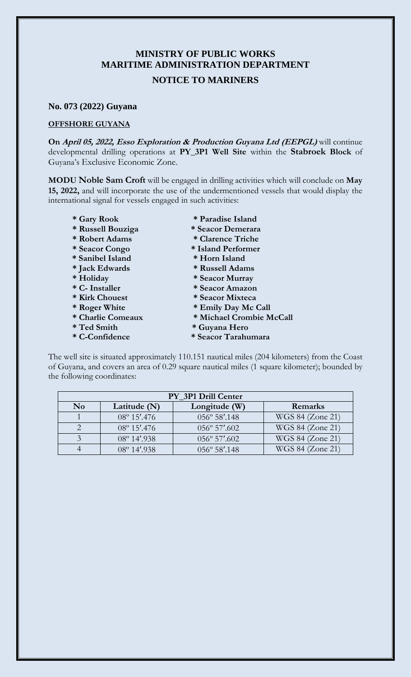# **MINISTRY OF PUBLIC WORKS MARITIME ADMINISTRATION DEPARTMENT**

## **NOTICE TO MARINERS**

#### **No. 073 (2022) Guyana**

#### **OFFSHORE GUYANA**

**On April 05, 2022, Esso Exploration & Production Guyana Ltd (EEPGL)** will continue developmental drilling operations at **PY\_3P1 Well Site** within the **Stabroek Block** of Guyana's Exclusive Economic Zone.

**MODU Noble Sam Croft** will be engaged in drilling activities which will conclude on **May 15, 2022,** and will incorporate the use of the undermentioned vessels that would display the international signal for vessels engaged in such activities:

- 
- **\* Russell Bouziga \* Seacor Demerara**
- **\* Robert Adams \* Clarence Triche**
- 
- **\* Sanibel Island \* Horn Island**
- **\* Jack Edwards \* Russell Adams**
- 
- 
- 
- 
- 
- 
- 
- **\* Gary Rook \* Paradise Island**
	-
	-
- **\* Seacor Congo \* Island Performer** 
	-
	-
	-
- **\* Holiday \* Seacor Murray \* C- Installer \* Seacor Amazon**
- **\* Kirk Chouest \* Seacor Mixteca**
- **\* Roger White \* Emily Day Mc Call**
- **\* Charlie Comeaux \* Michael Crombie McCall**
- **\* Ted Smith \* Guyana Hero**
- **\* C-Confidence \* Seacor Tarahumara**

The well site is situated approximately 110.151 nautical miles (204 kilometers) from the Coast of Guyana, and covers an area of 0.29 square nautical miles (1 square kilometer); bounded by the following coordinates:

| PY 3P1 Drill Center |                       |                        |                  |
|---------------------|-----------------------|------------------------|------------------|
| N <sub>0</sub>      | Latitude (N)          | Longitude (W)          | Remarks          |
|                     | $08^{\circ} 15'$ .476 | 056° 58'.148           | WGS 84 (Zone 21) |
|                     | $08^{\circ} 15'$ .476 | $056^{\circ} 57'.602$  | WGS 84 (Zone 21) |
|                     | $08^{\circ}$ 14'.938  | $056^{\circ} 57'.602$  | WGS 84 (Zone 21) |
|                     | $08^{\circ}$ 14'.938  | $056^{\circ} 58'$ .148 | WGS 84 (Zone 21) |